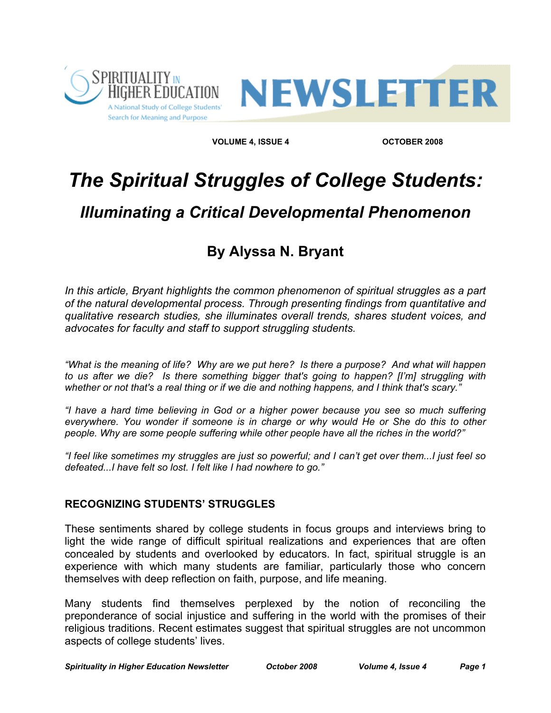



**VOLUME 4, ISSUE 4** OCTOBER 2008

# *The Spiritual Struggles of College Students:*

# *Illuminating a Critical Developmental Phenomenon*

## **By Alyssa N. Bryant**

In this article, Bryant highlights the common phenomenon of spiritual struggles as a part *of the natural developmental process. Through presenting findings from quantitative and qualitative research studies, she illuminates overall trends, shares student voices, and advocates for faculty and staff to support struggling students.*

*"What is the meaning of life? Why are we put here? Is there a purpose? And what will happen to us after we die? Is there something bigger that's going to happen? [I'm] struggling with whether or not that's a real thing or if we die and nothing happens, and I think that's scary."*

*"I have a hard time believing in God or a higher power because you see so much suffering everywhere. You wonder if someone is in charge or why would He or She do this to other people. Why are some people suffering while other people have all the riches in the world?"*

*"I feel like sometimes my struggles are just so powerful; and I can't get over them...I just feel so defeated...I have felt so lost. I felt like I had nowhere to go."*

#### **RECOGNIZING STUDENTS' STRUGGLES**

These sentiments shared by college students in focus groups and interviews bring to light the wide range of difficult spiritual realizations and experiences that are often concealed by students and overlooked by educators. In fact, spiritual struggle is an experience with which many students are familiar, particularly those who concern themselves with deep reflection on faith, purpose, and life meaning.

Many students find themselves perplexed by the notion of reconciling the preponderance of social injustice and suffering in the world with the promises of their religious traditions. Recent estimates suggest that spiritual struggles are not uncommon aspects of college students' lives.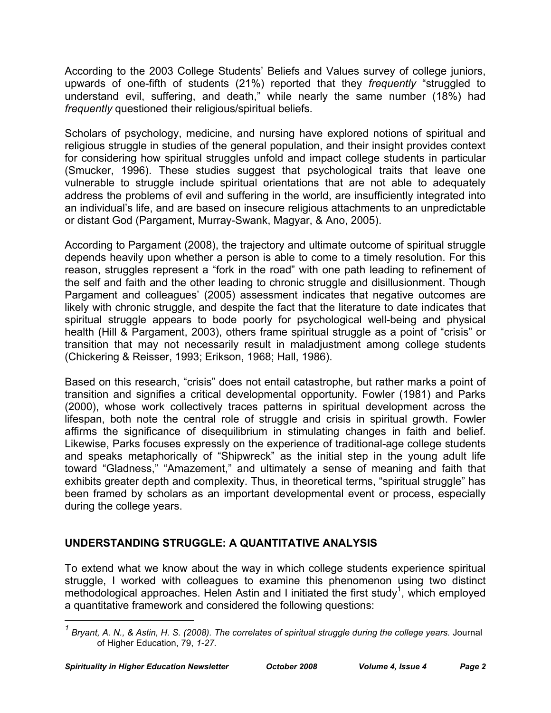According to the 2003 College Students' Beliefs and Values survey of college juniors, upwards of one-fifth of students (21%) reported that they *frequently* "struggled to understand evil, suffering, and death," while nearly the same number (18%) had *frequently* questioned their religious/spiritual beliefs.

Scholars of psychology, medicine, and nursing have explored notions of spiritual and religious struggle in studies of the general population, and their insight provides context for considering how spiritual struggles unfold and impact college students in particular (Smucker, 1996). These studies suggest that psychological traits that leave one vulnerable to struggle include spiritual orientations that are not able to adequately address the problems of evil and suffering in the world, are insufficiently integrated into an individual's life, and are based on insecure religious attachments to an unpredictable or distant God (Pargament, Murray-Swank, Magyar, & Ano, 2005).

According to Pargament (2008), the trajectory and ultimate outcome of spiritual struggle depends heavily upon whether a person is able to come to a timely resolution. For this reason, struggles represent a "fork in the road" with one path leading to refinement of the self and faith and the other leading to chronic struggle and disillusionment. Though Pargament and colleagues' (2005) assessment indicates that negative outcomes are likely with chronic struggle, and despite the fact that the literature to date indicates that spiritual struggle appears to bode poorly for psychological well-being and physical health (Hill & Pargament, 2003), others frame spiritual struggle as a point of "crisis" or transition that may not necessarily result in maladjustment among college students (Chickering & Reisser, 1993; Erikson, 1968; Hall, 1986).

Based on this research, "crisis" does not entail catastrophe, but rather marks a point of transition and signifies a critical developmental opportunity. Fowler (1981) and Parks (2000), whose work collectively traces patterns in spiritual development across the lifespan, both note the central role of struggle and crisis in spiritual growth. Fowler affirms the significance of disequilibrium in stimulating changes in faith and belief. Likewise, Parks focuses expressly on the experience of traditional-age college students and speaks metaphorically of "Shipwreck" as the initial step in the young adult life toward "Gladness," "Amazement," and ultimately a sense of meaning and faith that exhibits greater depth and complexity. Thus, in theoretical terms, "spiritual struggle" has been framed by scholars as an important developmental event or process, especially during the college years.

### **UNDERSTANDING STRUGGLE: A QUANTITATIVE ANALYSIS**

To extend what we know about the way in which college students experience spiritual struggle, I worked with colleagues to examine this phenomenon using two distinct methodological approaches. Helen Astin and I initiated the first study<sup>1</sup>, which employed a quantitative framework and considered the following questions:

*1 Bryant, A. N., & Astin, H. S. (2008). The correlates of spiritual struggle during the college years.* Journal of Higher Education, 79, *1-27.*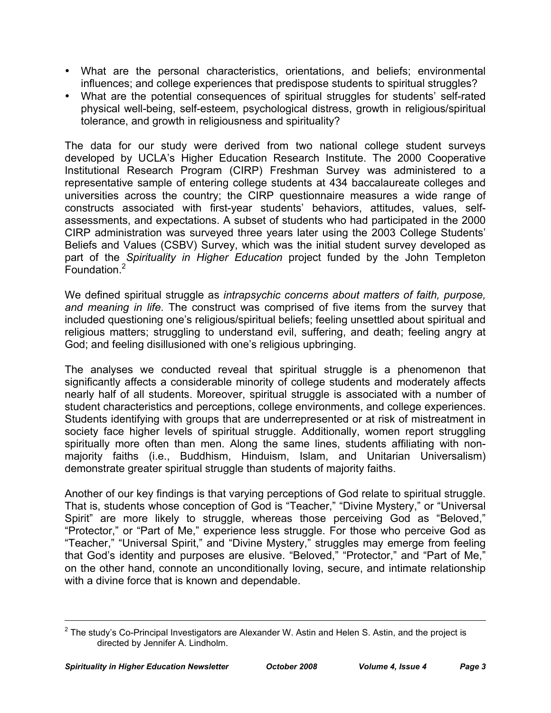- What are the personal characteristics, orientations, and beliefs; environmental influences; and college experiences that predispose students to spiritual struggles?
- What are the potential consequences of spiritual struggles for students' self-rated physical well-being, self-esteem, psychological distress, growth in religious/spiritual tolerance, and growth in religiousness and spirituality?

The data for our study were derived from two national college student surveys developed by UCLA's Higher Education Research Institute. The 2000 Cooperative Institutional Research Program (CIRP) Freshman Survey was administered to a representative sample of entering college students at 434 baccalaureate colleges and universities across the country; the CIRP questionnaire measures a wide range of constructs associated with first-year students' behaviors, attitudes, values, selfassessments, and expectations. A subset of students who had participated in the 2000 CIRP administration was surveyed three years later using the 2003 College Students' Beliefs and Values (CSBV) Survey, which was the initial student survey developed as part of the *Spirituality in Higher Education* project funded by the John Templeton Foundation.<sup>2</sup>

We defined spiritual struggle as *intrapsychic concerns about matters of faith, purpose, and meaning in life*. The construct was comprised of five items from the survey that included questioning one's religious/spiritual beliefs; feeling unsettled about spiritual and religious matters; struggling to understand evil, suffering, and death; feeling angry at God; and feeling disillusioned with one's religious upbringing.

The analyses we conducted reveal that spiritual struggle is a phenomenon that significantly affects a considerable minority of college students and moderately affects nearly half of all students. Moreover, spiritual struggle is associated with a number of student characteristics and perceptions, college environments, and college experiences. Students identifying with groups that are underrepresented or at risk of mistreatment in society face higher levels of spiritual struggle. Additionally, women report struggling spiritually more often than men. Along the same lines, students affiliating with nonmajority faiths (i.e., Buddhism, Hinduism, Islam, and Unitarian Universalism) demonstrate greater spiritual struggle than students of majority faiths.

Another of our key findings is that varying perceptions of God relate to spiritual struggle. That is, students whose conception of God is "Teacher," "Divine Mystery," or "Universal Spirit" are more likely to struggle, whereas those perceiving God as "Beloved," "Protector," or "Part of Me," experience less struggle. For those who perceive God as "Teacher," "Universal Spirit," and "Divine Mystery," struggles may emerge from feeling that God's identity and purposes are elusive. "Beloved," "Protector," and "Part of Me," on the other hand, connote an unconditionally loving, secure, and intimate relationship with a divine force that is known and dependable.

 $\overline{a}$ 

 $2$  The study's Co-Principal Investigators are Alexander W. Astin and Helen S. Astin, and the project is directed by Jennifer A. Lindholm.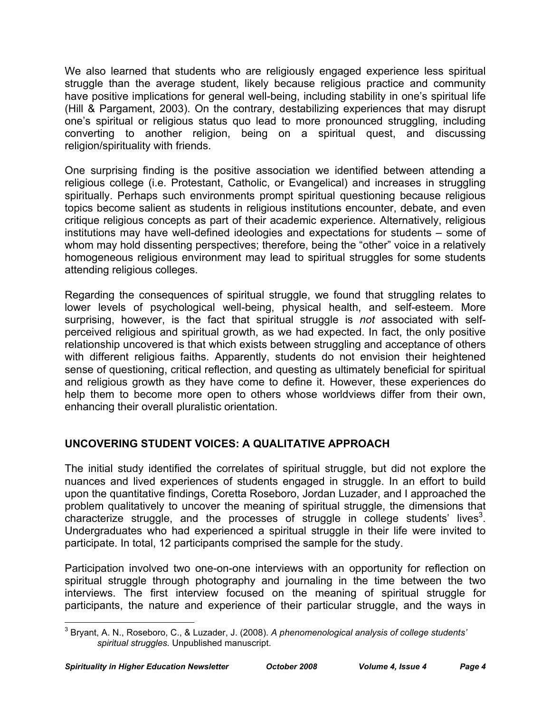We also learned that students who are religiously engaged experience less spiritual struggle than the average student, likely because religious practice and community have positive implications for general well-being, including stability in one's spiritual life (Hill & Pargament, 2003). On the contrary, destabilizing experiences that may disrupt one's spiritual or religious status quo lead to more pronounced struggling, including converting to another religion, being on a spiritual quest, and discussing religion/spirituality with friends.

One surprising finding is the positive association we identified between attending a religious college (i.e. Protestant, Catholic, or Evangelical) and increases in struggling spiritually. Perhaps such environments prompt spiritual questioning because religious topics become salient as students in religious institutions encounter, debate, and even critique religious concepts as part of their academic experience. Alternatively, religious institutions may have well-defined ideologies and expectations for students – some of whom may hold dissenting perspectives; therefore, being the "other" voice in a relatively homogeneous religious environment may lead to spiritual struggles for some students attending religious colleges.

Regarding the consequences of spiritual struggle, we found that struggling relates to lower levels of psychological well-being, physical health, and self-esteem. More surprising, however, is the fact that spiritual struggle is *not* associated with selfperceived religious and spiritual growth, as we had expected. In fact, the only positive relationship uncovered is that which exists between struggling and acceptance of others with different religious faiths. Apparently, students do not envision their heightened sense of questioning, critical reflection, and questing as ultimately beneficial for spiritual and religious growth as they have come to define it. However, these experiences do help them to become more open to others whose worldviews differ from their own, enhancing their overall pluralistic orientation.

#### **UNCOVERING STUDENT VOICES: A QUALITATIVE APPROACH**

The initial study identified the correlates of spiritual struggle, but did not explore the nuances and lived experiences of students engaged in struggle. In an effort to build upon the quantitative findings, Coretta Roseboro, Jordan Luzader, and I approached the problem qualitatively to uncover the meaning of spiritual struggle, the dimensions that characterize struggle, and the processes of struggle in college students' lives<sup>3</sup>. Undergraduates who had experienced a spiritual struggle in their life were invited to participate. In total, 12 participants comprised the sample for the study.

Participation involved two one-on-one interviews with an opportunity for reflection on spiritual struggle through photography and journaling in the time between the two interviews. The first interview focused on the meaning of spiritual struggle for participants, the nature and experience of their particular struggle, and the ways in

<sup>3</sup> Bryant, A. N., Roseboro, C., & Luzader, J. (2008). *A phenomenological analysis of college students' spiritual struggles.* Unpublished manuscript.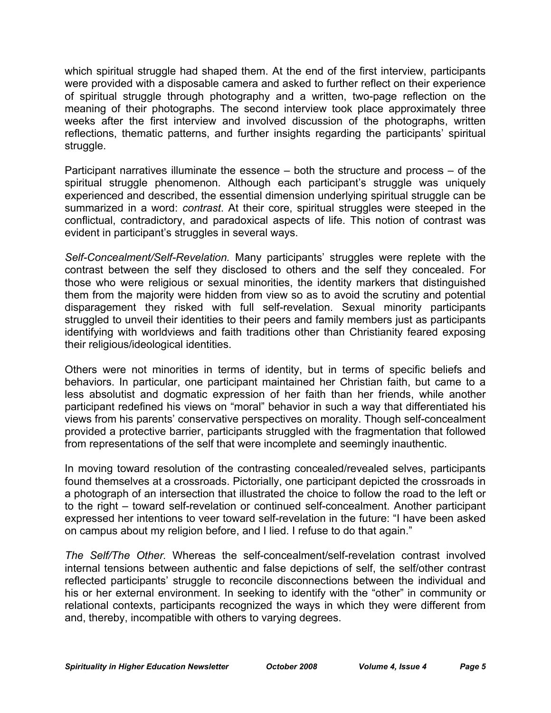which spiritual struggle had shaped them. At the end of the first interview, participants were provided with a disposable camera and asked to further reflect on their experience of spiritual struggle through photography and a written, two-page reflection on the meaning of their photographs. The second interview took place approximately three weeks after the first interview and involved discussion of the photographs, written reflections, thematic patterns, and further insights regarding the participants' spiritual struggle.

Participant narratives illuminate the essence – both the structure and process – of the spiritual struggle phenomenon. Although each participant's struggle was uniquely experienced and described, the essential dimension underlying spiritual struggle can be summarized in a word: *contrast*. At their core, spiritual struggles were steeped in the conflictual, contradictory, and paradoxical aspects of life. This notion of contrast was evident in participant's struggles in several ways.

*Self-Concealment/Self-Revelation.* Many participants' struggles were replete with the contrast between the self they disclosed to others and the self they concealed. For those who were religious or sexual minorities, the identity markers that distinguished them from the majority were hidden from view so as to avoid the scrutiny and potential disparagement they risked with full self-revelation. Sexual minority participants struggled to unveil their identities to their peers and family members just as participants identifying with worldviews and faith traditions other than Christianity feared exposing their religious/ideological identities.

Others were not minorities in terms of identity, but in terms of specific beliefs and behaviors. In particular, one participant maintained her Christian faith, but came to a less absolutist and dogmatic expression of her faith than her friends, while another participant redefined his views on "moral" behavior in such a way that differentiated his views from his parents' conservative perspectives on morality. Though self-concealment provided a protective barrier, participants struggled with the fragmentation that followed from representations of the self that were incomplete and seemingly inauthentic.

In moving toward resolution of the contrasting concealed/revealed selves, participants found themselves at a crossroads. Pictorially, one participant depicted the crossroads in a photograph of an intersection that illustrated the choice to follow the road to the left or to the right – toward self-revelation or continued self-concealment. Another participant expressed her intentions to veer toward self-revelation in the future: "I have been asked on campus about my religion before, and I lied. I refuse to do that again."

*The Self/The Other.* Whereas the self-concealment/self-revelation contrast involved internal tensions between authentic and false depictions of self, the self/other contrast reflected participants' struggle to reconcile disconnections between the individual and his or her external environment. In seeking to identify with the "other" in community or relational contexts, participants recognized the ways in which they were different from and, thereby, incompatible with others to varying degrees.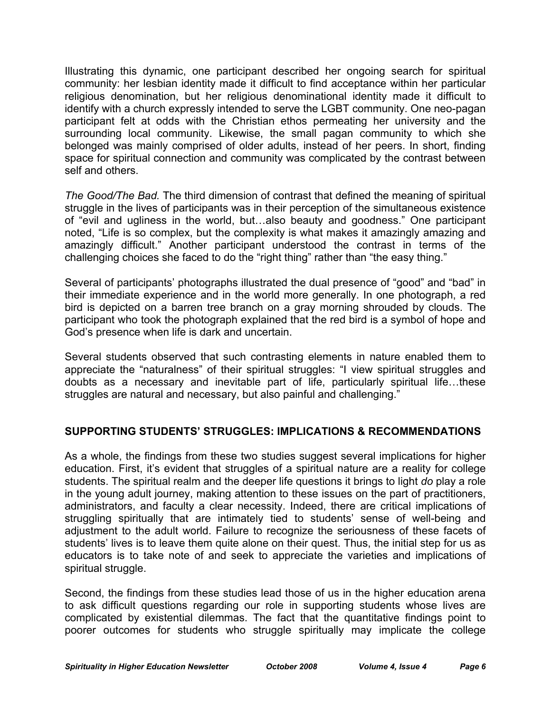Illustrating this dynamic, one participant described her ongoing search for spiritual community: her lesbian identity made it difficult to find acceptance within her particular religious denomination, but her religious denominational identity made it difficult to identify with a church expressly intended to serve the LGBT community. One neo-pagan participant felt at odds with the Christian ethos permeating her university and the surrounding local community. Likewise, the small pagan community to which she belonged was mainly comprised of older adults, instead of her peers. In short, finding space for spiritual connection and community was complicated by the contrast between self and others.

*The Good/The Bad.* The third dimension of contrast that defined the meaning of spiritual struggle in the lives of participants was in their perception of the simultaneous existence of "evil and ugliness in the world, but…also beauty and goodness." One participant noted, "Life is so complex, but the complexity is what makes it amazingly amazing and amazingly difficult." Another participant understood the contrast in terms of the challenging choices she faced to do the "right thing" rather than "the easy thing."

Several of participants' photographs illustrated the dual presence of "good" and "bad" in their immediate experience and in the world more generally. In one photograph, a red bird is depicted on a barren tree branch on a gray morning shrouded by clouds. The participant who took the photograph explained that the red bird is a symbol of hope and God's presence when life is dark and uncertain.

Several students observed that such contrasting elements in nature enabled them to appreciate the "naturalness" of their spiritual struggles: "I view spiritual struggles and doubts as a necessary and inevitable part of life, particularly spiritual life…these struggles are natural and necessary, but also painful and challenging."

#### **SUPPORTING STUDENTS' STRUGGLES: IMPLICATIONS & RECOMMENDATIONS**

As a whole, the findings from these two studies suggest several implications for higher education. First, it's evident that struggles of a spiritual nature are a reality for college students. The spiritual realm and the deeper life questions it brings to light *do* play a role in the young adult journey, making attention to these issues on the part of practitioners, administrators, and faculty a clear necessity. Indeed, there are critical implications of struggling spiritually that are intimately tied to students' sense of well-being and adjustment to the adult world. Failure to recognize the seriousness of these facets of students' lives is to leave them quite alone on their quest. Thus, the initial step for us as educators is to take note of and seek to appreciate the varieties and implications of spiritual struggle.

Second, the findings from these studies lead those of us in the higher education arena to ask difficult questions regarding our role in supporting students whose lives are complicated by existential dilemmas. The fact that the quantitative findings point to poorer outcomes for students who struggle spiritually may implicate the college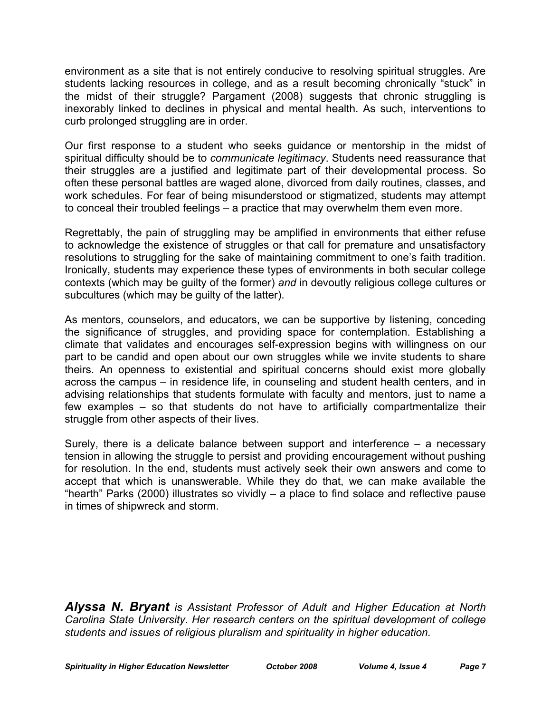environment as a site that is not entirely conducive to resolving spiritual struggles. Are students lacking resources in college, and as a result becoming chronically "stuck" in the midst of their struggle? Pargament (2008) suggests that chronic struggling is inexorably linked to declines in physical and mental health. As such, interventions to curb prolonged struggling are in order.

Our first response to a student who seeks guidance or mentorship in the midst of spiritual difficulty should be to *communicate legitimacy*. Students need reassurance that their struggles are a justified and legitimate part of their developmental process. So often these personal battles are waged alone, divorced from daily routines, classes, and work schedules. For fear of being misunderstood or stigmatized, students may attempt to conceal their troubled feelings – a practice that may overwhelm them even more.

Regrettably, the pain of struggling may be amplified in environments that either refuse to acknowledge the existence of struggles or that call for premature and unsatisfactory resolutions to struggling for the sake of maintaining commitment to one's faith tradition. Ironically, students may experience these types of environments in both secular college contexts (which may be guilty of the former) *and* in devoutly religious college cultures or subcultures (which may be guilty of the latter).

As mentors, counselors, and educators, we can be supportive by listening, conceding the significance of struggles, and providing space for contemplation. Establishing a climate that validates and encourages self-expression begins with willingness on our part to be candid and open about our own struggles while we invite students to share theirs. An openness to existential and spiritual concerns should exist more globally across the campus – in residence life, in counseling and student health centers, and in advising relationships that students formulate with faculty and mentors, just to name a few examples – so that students do not have to artificially compartmentalize their struggle from other aspects of their lives.

Surely, there is a delicate balance between support and interference – a necessary tension in allowing the struggle to persist and providing encouragement without pushing for resolution. In the end, students must actively seek their own answers and come to accept that which is unanswerable. While they do that, we can make available the "hearth" Parks (2000) illustrates so vividly – a place to find solace and reflective pause in times of shipwreck and storm.

*Alyssa N. Bryant is Assistant Professor of Adult and Higher Education at North Carolina State University. Her research centers on the spiritual development of college students and issues of religious pluralism and spirituality in higher education.*